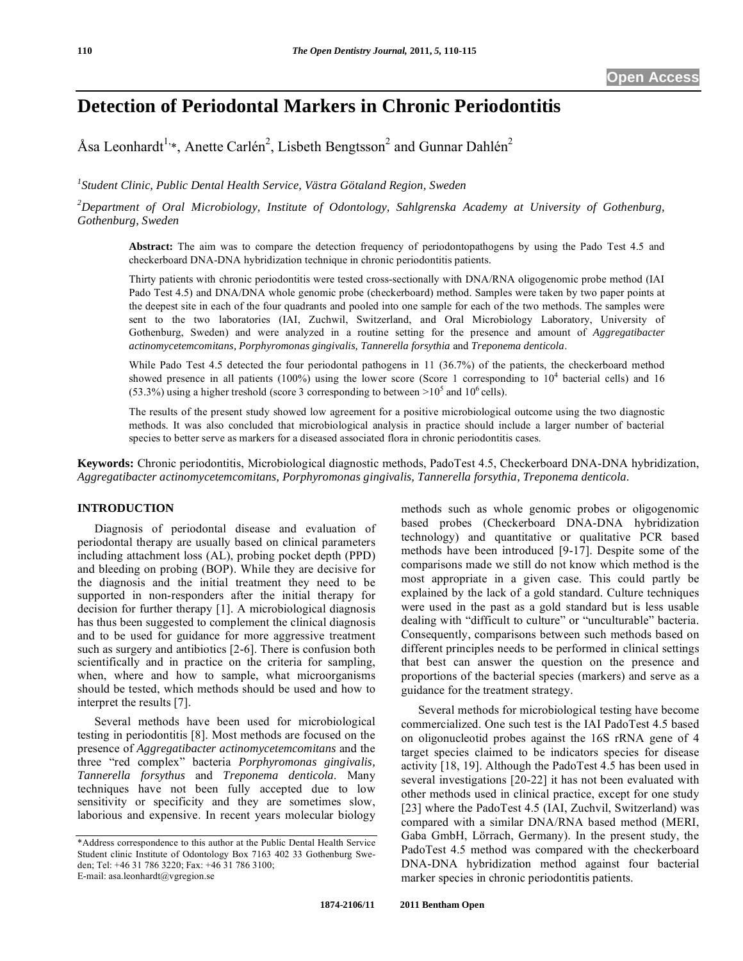# **Detection of Periodontal Markers in Chronic Periodontitis**

Åsa Leonhardt<sup>1,\*</sup>, Anette Carlén<sup>2</sup>, Lisbeth Bengtsson<sup>2</sup> and Gunnar Dahlén<sup>2</sup>

<sup>1</sup> Student Clinic, Public Dental Health Service, Västra Götaland Region, Sweden

*2 Department of Oral Microbiology, Institute of Odontology, Sahlgrenska Academy at University of Gothenburg, Gothenburg, Sweden*

**Abstract:** The aim was to compare the detection frequency of periodontopathogens by using the Pado Test 4.5 and checkerboard DNA-DNA hybridization technique in chronic periodontitis patients.

Thirty patients with chronic periodontitis were tested cross-sectionally with DNA/RNA oligogenomic probe method (IAI Pado Test 4.5) and DNA/DNA whole genomic probe (checkerboard) method. Samples were taken by two paper points at the deepest site in each of the four quadrants and pooled into one sample for each of the two methods. The samples were sent to the two laboratories (IAI, Zuchwil, Switzerland, and Oral Microbiology Laboratory, University of Gothenburg, Sweden) and were analyzed in a routine setting for the presence and amount of *Aggregatibacter actinomycetemcomitans, Porphyromonas gingivalis, Tannerella forsythia* and *Treponema denticola*.

While Pado Test 4.5 detected the four periodontal pathogens in 11 (36.7%) of the patients, the checkerboard method showed presence in all patients (100%) using the lower score (Score 1 corresponding to  $10<sup>4</sup>$  bacterial cells) and 16 (53.3%) using a higher treshold (score 3 corresponding to between  $>10^5$  and 10<sup>6</sup> cells).

The results of the present study showed low agreement for a positive microbiological outcome using the two diagnostic methods. It was also concluded that microbiological analysis in practice should include a larger number of bacterial species to better serve as markers for a diseased associated flora in chronic periodontitis cases.

**Keywords:** Chronic periodontitis, Microbiological diagnostic methods, PadoTest 4.5, Checkerboard DNA-DNA hybridization, *Aggregatibacter actinomycetemcomitans, Porphyromonas gingivalis, Tannerella forsythia, Treponema denticola.*

# **INTRODUCTION**

Diagnosis of periodontal disease and evaluation of periodontal therapy are usually based on clinical parameters including attachment loss (AL), probing pocket depth (PPD) and bleeding on probing (BOP). While they are decisive for the diagnosis and the initial treatment they need to be supported in non-responders after the initial therapy for decision for further therapy [1]. A microbiological diagnosis has thus been suggested to complement the clinical diagnosis and to be used for guidance for more aggressive treatment such as surgery and antibiotics [2-6]. There is confusion both scientifically and in practice on the criteria for sampling, when, where and how to sample, what microorganisms should be tested, which methods should be used and how to interpret the results [7].

Several methods have been used for microbiological testing in periodontitis [8]. Most methods are focused on the presence of *Aggregatibacter actinomycetemcomitans* and the three "red complex" bacteria *Porphyromonas gingivalis, Tannerella forsythus* and *Treponema denticola*. Many techniques have not been fully accepted due to low sensitivity or specificity and they are sometimes slow, laborious and expensive. In recent years molecular biology

methods such as whole genomic probes or oligogenomic based probes (Checkerboard DNA-DNA hybridization technology) and quantitative or qualitative PCR based methods have been introduced [9-17]. Despite some of the comparisons made we still do not know which method is the most appropriate in a given case. This could partly be explained by the lack of a gold standard. Culture techniques were used in the past as a gold standard but is less usable dealing with "difficult to culture" or "unculturable" bacteria. Consequently, comparisons between such methods based on different principles needs to be performed in clinical settings that best can answer the question on the presence and proportions of the bacterial species (markers) and serve as a guidance for the treatment strategy.

Several methods for microbiological testing have become commercialized. One such test is the IAI PadoTest 4.5 based on oligonucleotid probes against the 16S rRNA gene of 4 target species claimed to be indicators species for disease activity [18, 19]. Although the PadoTest 4.5 has been used in several investigations [20-22] it has not been evaluated with other methods used in clinical practice, except for one study [23] where the PadoTest 4.5 (IAI, Zuchvil, Switzerland) was compared with a similar DNA/RNA based method (MERI, Gaba GmbH, Lörrach, Germany). In the present study, the PadoTest 4.5 method was compared with the checkerboard DNA-DNA hybridization method against four bacterial marker species in chronic periodontitis patients.

<sup>\*</sup>Address correspondence to this author at the Public Dental Health Service Student clinic Institute of Odontology Box 7163 402 33 Gothenburg Sweden; Tel: +46 31 786 3220; Fax: +46 31 786 3100; E-mail: asa.leonhardt@vgregion.se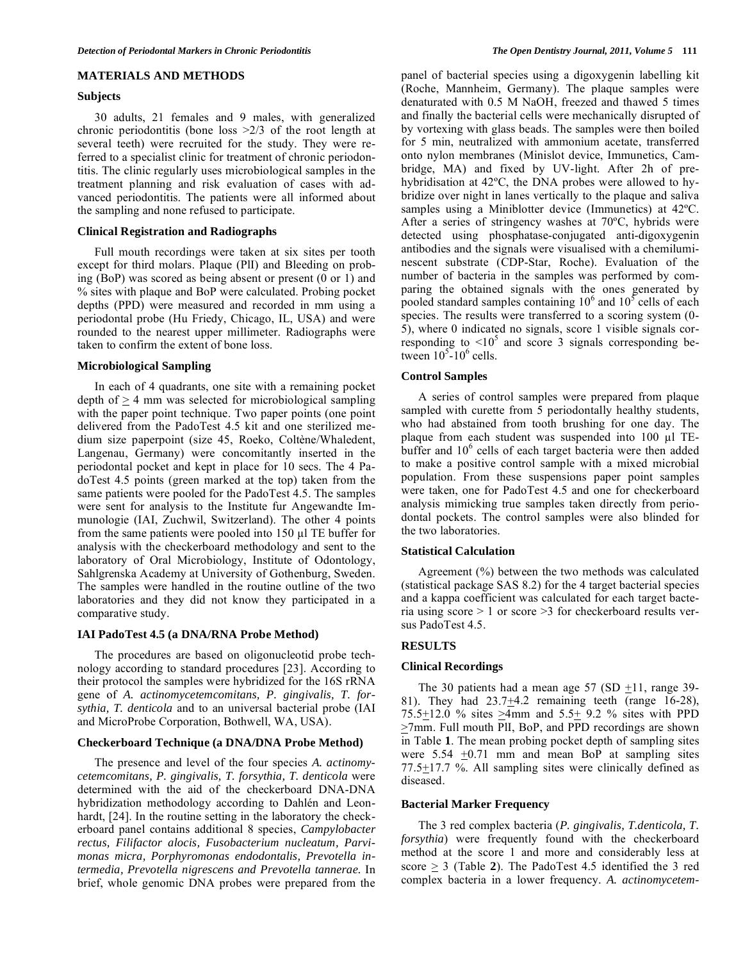#### **MATERIALS AND METHODS**

#### **Subjects**

30 adults, 21 females and 9 males, with generalized chronic periodontitis (bone loss >2/3 of the root length at several teeth) were recruited for the study. They were referred to a specialist clinic for treatment of chronic periodontitis. The clinic regularly uses microbiological samples in the treatment planning and risk evaluation of cases with advanced periodontitis. The patients were all informed about the sampling and none refused to participate.

# **Clinical Registration and Radiographs**

Full mouth recordings were taken at six sites per tooth except for third molars. Plaque (PlI) and Bleeding on probing (BoP) was scored as being absent or present (0 or 1) and % sites with plaque and BoP were calculated. Probing pocket depths (PPD) were measured and recorded in mm using a periodontal probe (Hu Friedy, Chicago, IL, USA) and were rounded to the nearest upper millimeter. Radiographs were taken to confirm the extent of bone loss.

## **Microbiological Sampling**

In each of 4 quadrants, one site with a remaining pocket depth of  $> 4$  mm was selected for microbiological sampling with the paper point technique. Two paper points (one point delivered from the PadoTest 4.5 kit and one sterilized medium size paperpoint (size 45, Roeko, Coltène/Whaledent, Langenau, Germany) were concomitantly inserted in the periodontal pocket and kept in place for 10 secs. The 4 PadoTest 4.5 points (green marked at the top) taken from the same patients were pooled for the PadoTest 4.5. The samples were sent for analysis to the Institute fur Angewandte Immunologie (IAI, Zuchwil, Switzerland). The other 4 points from the same patients were pooled into  $150 \mu$  TE buffer for analysis with the checkerboard methodology and sent to the laboratory of Oral Microbiology, Institute of Odontology, Sahlgrenska Academy at University of Gothenburg, Sweden. The samples were handled in the routine outline of the two laboratories and they did not know they participated in a comparative study.

# **IAI PadoTest 4.5 (a DNA/RNA Probe Method)**

The procedures are based on oligonucleotid probe technology according to standard procedures [23]. According to their protocol the samples were hybridized for the 16S rRNA gene of *A. actinomycetemcomitans, P. gingivalis, T. forsythia, T. denticola* and to an universal bacterial probe (IAI and MicroProbe Corporation, Bothwell, WA, USA).

#### **Checkerboard Technique (a DNA/DNA Probe Method)**

The presence and level of the four species *A. actinomycetemcomitans, P. gingivalis, T. forsythia, T. denticola* were determined with the aid of the checkerboard DNA-DNA hybridization methodology according to Dahlén and Leonhardt, [24]. In the routine setting in the laboratory the checkerboard panel contains additional 8 species, *Campylobacter rectus, Filifactor alocis, Fusobacterium nucleatum, Parvimonas micra, Porphyromonas endodontalis, Prevotella intermedia, Prevotella nigrescens and Prevotella tannerae.* In brief, whole genomic DNA probes were prepared from the panel of bacterial species using a digoxygenin labelling kit (Roche, Mannheim, Germany). The plaque samples were denaturated with 0.5 M NaOH, freezed and thawed 5 times and finally the bacterial cells were mechanically disrupted of by vortexing with glass beads. The samples were then boiled for 5 min, neutralized with ammonium acetate, transferred onto nylon membranes (Minislot device, Immunetics, Cambridge, MA) and fixed by UV-light. After 2h of prehybridisation at 42ºC, the DNA probes were allowed to hybridize over night in lanes vertically to the plaque and saliva samples using a Miniblotter device (Immunetics) at 42ºC. After a series of stringency washes at 70ºC, hybrids were detected using phosphatase-conjugated anti-digoxygenin antibodies and the signals were visualised with a chemiluminescent substrate (CDP-Star, Roche). Evaluation of the number of bacteria in the samples was performed by comparing the obtained signals with the ones generated by pooled standard samples containing  $10^6$  and  $10^5$  cells of each species. The results were transferred to a scoring system (0- 5), where 0 indicated no signals, score 1 visible signals corresponding to  $\leq 10^5$  and score 3 signals corresponding between  $10^{5}$ - $10^{6}$  cells.

#### **Control Samples**

A series of control samples were prepared from plaque sampled with curette from 5 periodontally healthy students, who had abstained from tooth brushing for one day. The plaque from each student was suspended into  $100 \mu l$  TEbuffer and 10<sup>6</sup> cells of each target bacteria were then added to make a positive control sample with a mixed microbial population. From these suspensions paper point samples were taken, one for PadoTest 4.5 and one for checkerboard analysis mimicking true samples taken directly from periodontal pockets. The control samples were also blinded for the two laboratories.

#### **Statistical Calculation**

Agreement (%) between the two methods was calculated (statistical package SAS 8.2) for the 4 target bacterial species and a kappa coefficient was calculated for each target bacteria using score  $> 1$  or score  $> 3$  for checkerboard results versus PadoTest 4.5.

#### **RESULTS**

#### **Clinical Recordings**

The 30 patients had a mean age 57 (SD  $\pm$ 11, range 39-81). They had  $23.7\pm4.2$  remaining teeth (range 16-28), 75.5 $\pm$ 12.0 % sites  $\geq$ 4mm and 5.5 $\pm$  9.2 % sites with PPD  $\geq$ 7mm. Full mouth PII, BoP, and PPD recordings are shown in Table **1**. The mean probing pocket depth of sampling sites were  $5.54 \pm 0.71$  mm and mean BoP at sampling sites 77.5 $\pm$ 17.7 %. All sampling sites were clinically defined as diseased.

#### **Bacterial Marker Frequency**

The 3 red complex bacteria (*P. gingivalis, T.denticola, T. forsythia*) were frequently found with the checkerboard method at the score 1 and more and considerably less at score  $\geq$  3 (Table 2). The PadoTest 4.5 identified the 3 red complex bacteria in a lower frequency. *A. actinomycetem-*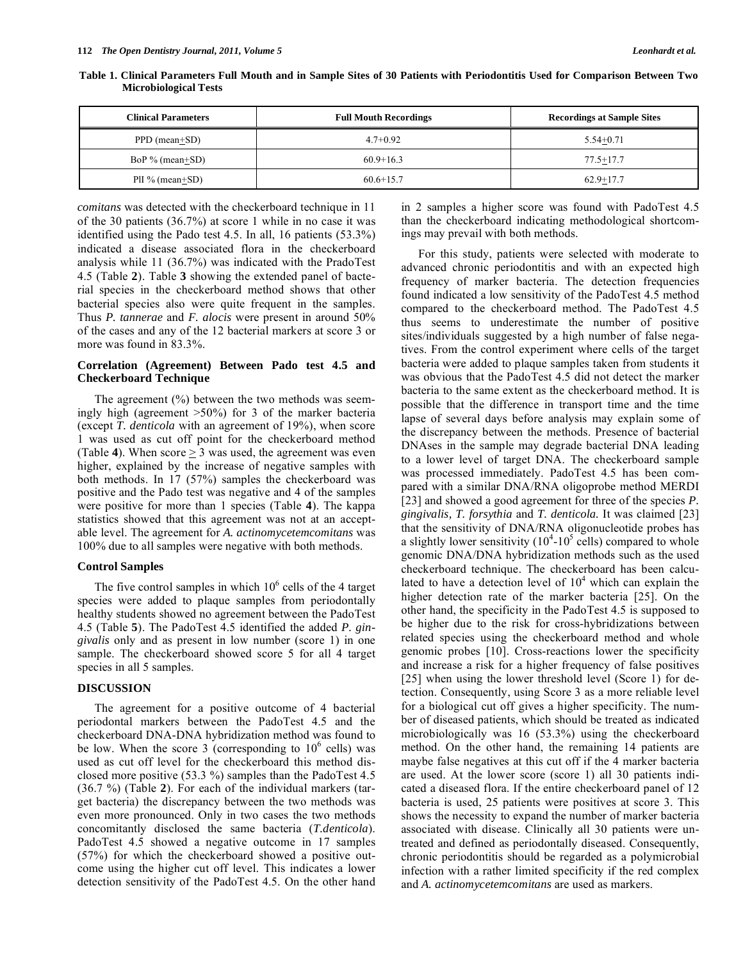| <b>Clinical Parameters</b> | <b>Full Mouth Recordings</b> | <b>Recordings at Sample Sites</b> |
|----------------------------|------------------------------|-----------------------------------|
| PPD (mean+SD)              | $4.7+0.92$                   | $5.54 + 0.71$                     |
| BoP $%$ (mean+SD)          | $60.9 + 16.3$                | $77.5 + 17.7$                     |
| PII % (mean+SD)            | $60.6 + 15.7$                | $62.9 + 17.7$                     |

**Table 1. Clinical Parameters Full Mouth and in Sample Sites of 30 Patients with Periodontitis Used for Comparison Between Two Microbiological Tests** 

*comitans* was detected with the checkerboard technique in 11 of the 30 patients (36.7%) at score 1 while in no case it was identified using the Pado test 4.5. In all, 16 patients (53.3%) indicated a disease associated flora in the checkerboard analysis while 11 (36.7%) was indicated with the PradoTest 4.5 (Table **2**). Table **3** showing the extended panel of bacterial species in the checkerboard method shows that other bacterial species also were quite frequent in the samples. Thus *P. tannerae* and *F. alocis* were present in around 50% of the cases and any of the 12 bacterial markers at score 3 or more was found in 83.3%.

# **Correlation (Agreement) Between Pado test 4.5 and Checkerboard Technique**

The agreement  $(%)$  between the two methods was seemingly high (agreement >50%) for 3 of the marker bacteria (except *T. denticola* with an agreement of 19%), when score 1 was used as cut off point for the checkerboard method (Table 4). When  $score \geq 3$  was used, the agreement was even higher, explained by the increase of negative samples with both methods. In 17 (57%) samples the checkerboard was positive and the Pado test was negative and 4 of the samples were positive for more than 1 species (Table **4**). The kappa statistics showed that this agreement was not at an acceptable level. The agreement for *A. actinomycetemcomitans* was 100% due to all samples were negative with both methods.

## **Control Samples**

The five control samples in which  $10<sup>6</sup>$  cells of the 4 target species were added to plaque samples from periodontally healthy students showed no agreement between the PadoTest 4.5 (Table **5**). The PadoTest 4.5 identified the added *P. gingivalis* only and as present in low number (score 1) in one sample. The checkerboard showed score 5 for all 4 target species in all 5 samples.

## **DISCUSSION**

The agreement for a positive outcome of 4 bacterial periodontal markers between the PadoTest 4.5 and the checkerboard DNA-DNA hybridization method was found to be low. When the score 3 (corresponding to  $10^6$  cells) was used as cut off level for the checkerboard this method disclosed more positive (53.3 %) samples than the PadoTest 4.5 (36.7 %) (Table **2**). For each of the individual markers (target bacteria) the discrepancy between the two methods was even more pronounced. Only in two cases the two methods concomitantly disclosed the same bacteria (*T.denticola*). PadoTest 4.5 showed a negative outcome in 17 samples (57%) for which the checkerboard showed a positive outcome using the higher cut off level. This indicates a lower detection sensitivity of the PadoTest 4.5. On the other hand

in 2 samples a higher score was found with PadoTest 4.5 than the checkerboard indicating methodological shortcomings may prevail with both methods.

For this study, patients were selected with moderate to advanced chronic periodontitis and with an expected high frequency of marker bacteria. The detection frequencies found indicated a low sensitivity of the PadoTest 4.5 method compared to the checkerboard method. The PadoTest 4.5 thus seems to underestimate the number of positive sites/individuals suggested by a high number of false negatives. From the control experiment where cells of the target bacteria were added to plaque samples taken from students it was obvious that the PadoTest 4.5 did not detect the marker bacteria to the same extent as the checkerboard method. It is possible that the difference in transport time and the time lapse of several days before analysis may explain some of the discrepancy between the methods. Presence of bacterial DNAses in the sample may degrade bacterial DNA leading to a lower level of target DNA. The checkerboard sample was processed immediately. PadoTest 4.5 has been compared with a similar DNA/RNA oligoprobe method MERDI [23] and showed a good agreement for three of the species *P. gingivalis, T. forsythia* and *T. denticola.* It was claimed [23] that the sensitivity of DNA/RNA oligonucleotide probes has a slightly lower sensitivity  $(10^4 \text{-} 10^5 \text{ cells})$  compared to whole genomic DNA/DNA hybridization methods such as the used checkerboard technique. The checkerboard has been calculated to have a detection level of  $10<sup>4</sup>$  which can explain the higher detection rate of the marker bacteria [25]. On the other hand, the specificity in the PadoTest 4.5 is supposed to be higher due to the risk for cross-hybridizations between related species using the checkerboard method and whole genomic probes [10]. Cross-reactions lower the specificity and increase a risk for a higher frequency of false positives [25] when using the lower threshold level (Score 1) for detection. Consequently, using Score 3 as a more reliable level for a biological cut off gives a higher specificity. The number of diseased patients, which should be treated as indicated microbiologically was 16 (53.3%) using the checkerboard method. On the other hand, the remaining 14 patients are maybe false negatives at this cut off if the 4 marker bacteria are used. At the lower score (score 1) all 30 patients indicated a diseased flora. If the entire checkerboard panel of 12 bacteria is used, 25 patients were positives at score 3. This shows the necessity to expand the number of marker bacteria associated with disease. Clinically all 30 patients were untreated and defined as periodontally diseased. Consequently, chronic periodontitis should be regarded as a polymicrobial infection with a rather limited specificity if the red complex and *A. actinomycetemcomitans* are used as markers.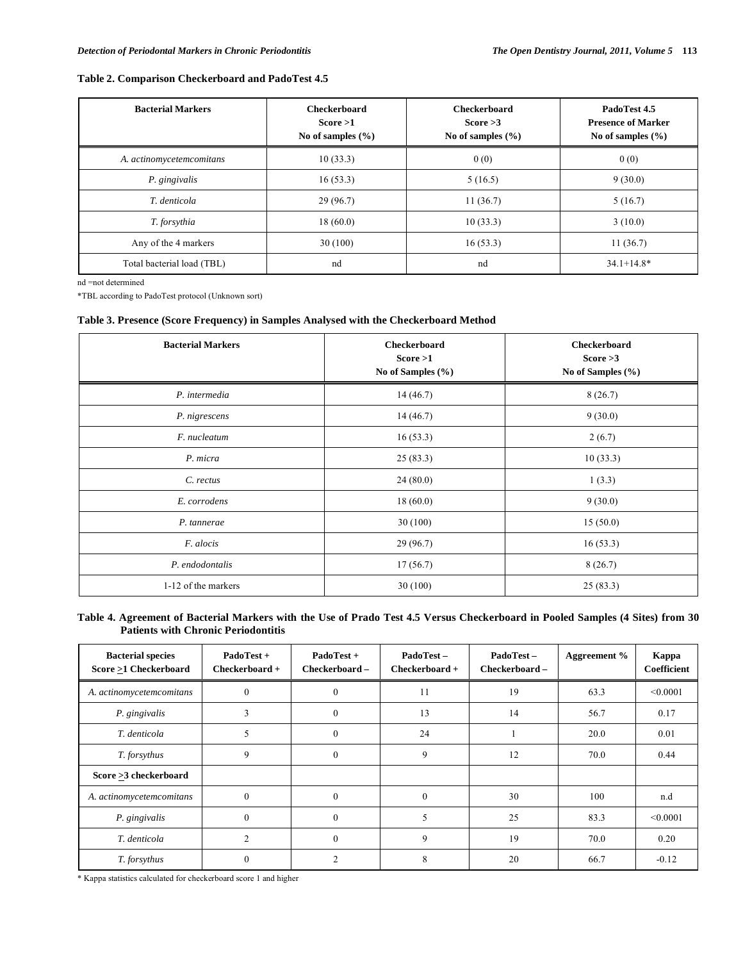# **Table 2. Comparison Checkerboard and PadoTest 4.5**

| <b>Bacterial Markers</b>   | <b>Checkerboard</b><br>Score >1<br>No of samples $(\% )$ | <b>Checkerboard</b><br>Score $>3$<br>No of samples $(\% )$ | PadoTest 4.5<br><b>Presence of Marker</b><br>No of samples $(\% )$ |
|----------------------------|----------------------------------------------------------|------------------------------------------------------------|--------------------------------------------------------------------|
| A. actinomycetemcomitans   | 10(33.3)                                                 | 0(0)                                                       | 0(0)                                                               |
| P. gingivalis              | 16(53.3)                                                 | 5(16.5)                                                    | 9(30.0)                                                            |
| T. denticola               | 29 (96.7)                                                | 11(36.7)                                                   | 5(16.7)                                                            |
| T. forsythia               | 18(60.0)                                                 | 10(33.3)                                                   | 3(10.0)                                                            |
| Any of the 4 markers       | 30(100)                                                  | 16(53.3)                                                   | 11(36.7)                                                           |
| Total bacterial load (TBL) | nd                                                       | nd                                                         | $34.1 + 14.8*$                                                     |

nd =not determined

\*TBL according to PadoTest protocol (Unknown sort)

# **Table 3. Presence (Score Frequency) in Samples Analysed with the Checkerboard Method**

| <b>Bacterial Markers</b> | <b>Checkerboard</b><br>Score >1<br>No of Samples (%) | <b>Checkerboard</b><br>Score $>3$<br>No of Samples (%) |
|--------------------------|------------------------------------------------------|--------------------------------------------------------|
| P. intermedia            | 14(46.7)                                             | 8(26.7)                                                |
| P. nigrescens            | 14(46.7)                                             | 9(30.0)                                                |
| F. nucleatum             | 16(53.3)                                             | 2(6.7)                                                 |
| P. micra                 | 25(83.3)                                             | 10(33.3)                                               |
| C. rectus                | 24(80.0)                                             | 1(3.3)                                                 |
| E. corrodens             | 18(60.0)                                             | 9(30.0)                                                |
| P. tannerae              | 30(100)                                              | 15(50.0)                                               |
| F. alocis                | 29(96.7)                                             | 16(53.3)                                               |
| P. endodontalis          | 17(56.7)                                             | 8(26.7)                                                |
| 1-12 of the markers      | 30(100)                                              | 25(83.3)                                               |

# **Table 4. Agreement of Bacterial Markers with the Use of Prado Test 4.5 Versus Checkerboard in Pooled Samples (4 Sites) from 30 Patients with Chronic Periodontitis**

| <b>Bacterial species</b><br>Score >1 Checkerboard | PadoTest +<br>$Checkerboard +$ | PadoTest +<br>Checkerboard- | PadoTest-<br>$Checkerboard +$ | PadoTest-<br>Checkerboard - | Aggreement % | Kappa<br>Coefficient |
|---------------------------------------------------|--------------------------------|-----------------------------|-------------------------------|-----------------------------|--------------|----------------------|
| A. actinomycetemcomitans                          | $\theta$                       | $\Omega$                    | 11                            | 19                          | 63.3         | < 0.0001             |
| P. gingivalis                                     | 3                              | $\theta$                    | 13                            | 14                          | 56.7         | 0.17                 |
| T. denticola                                      | 5                              | $\boldsymbol{0}$            | 24                            |                             | 20.0         | 0.01                 |
| T. forsythus                                      | 9                              | $\Omega$                    | 9                             | 12                          | 70.0         | 0.44                 |
| Score >3 checkerboard                             |                                |                             |                               |                             |              |                      |
| A. actinomycetemcomitans                          | $\theta$                       | $\theta$                    | $\theta$                      | 30                          | 100          | n.d                  |
| P. gingivalis                                     | $\Omega$                       | $\theta$                    | 5                             | 25                          | 83.3         | < 0.0001             |
| T. denticola                                      | 2                              | $\theta$                    | 9                             | 19                          | 70.0         | 0.20                 |
| T. forsythus                                      | 0                              |                             | 8                             | 20                          | 66.7         | $-0.12$              |

\* Kappa statistics calculated for checkerboard score 1 and higher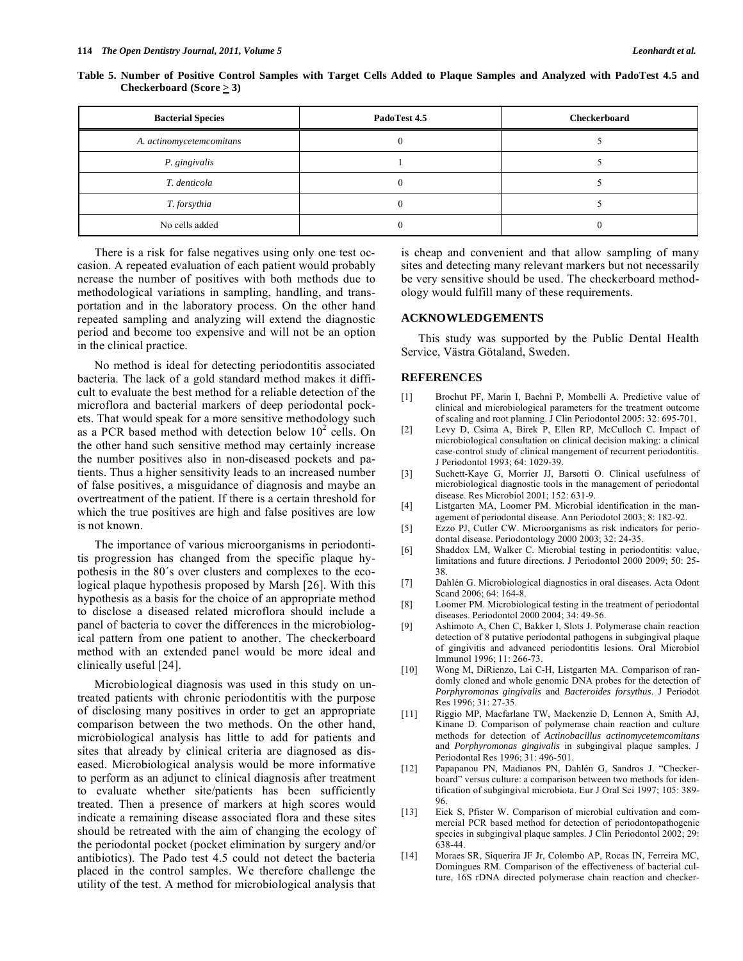| <b>Bacterial Species</b> | PadoTest 4.5 | Checkerboard |
|--------------------------|--------------|--------------|
| A. actinomycetemcomitans |              |              |
| P. gingivalis            |              |              |
| T. denticola             |              |              |
| T. forsythia             |              |              |
| No cells added           |              |              |

**Table 5. Number of Positive Control Samples with Target Cells Added to Plaque Samples and Analyzed with PadoTest 4.5 and Checkerboard (Score**  $\geq$  **3)** 

There is a risk for false negatives using only one test occasion. A repeated evaluation of each patient would probably ncrease the number of positives with both methods due to methodological variations in sampling, handling, and transportation and in the laboratory process. On the other hand repeated sampling and analyzing will extend the diagnostic period and become too expensive and will not be an option in the clinical practice.

No method is ideal for detecting periodontitis associated bacteria. The lack of a gold standard method makes it difficult to evaluate the best method for a reliable detection of the microflora and bacterial markers of deep periodontal pockets. That would speak for a more sensitive methodology such as a PCR based method with detection below  $10^2$  cells. On the other hand such sensitive method may certainly increase the number positives also in non-diseased pockets and patients. Thus a higher sensitivity leads to an increased number of false positives, a misguidance of diagnosis and maybe an overtreatment of the patient. If there is a certain threshold for which the true positives are high and false positives are low is not known.

The importance of various microorganisms in periodontitis progression has changed from the specific plaque hypothesis in the 80´s over clusters and complexes to the ecological plaque hypothesis proposed by Marsh [26]. With this hypothesis as a basis for the choice of an appropriate method to disclose a diseased related microflora should include a panel of bacteria to cover the differences in the microbiological pattern from one patient to another. The checkerboard method with an extended panel would be more ideal and clinically useful [24].

Microbiological diagnosis was used in this study on untreated patients with chronic periodontitis with the purpose of disclosing many positives in order to get an appropriate comparison between the two methods. On the other hand, microbiological analysis has little to add for patients and sites that already by clinical criteria are diagnosed as diseased. Microbiological analysis would be more informative to perform as an adjunct to clinical diagnosis after treatment to evaluate whether site/patients has been sufficiently treated. Then a presence of markers at high scores would indicate a remaining disease associated flora and these sites should be retreated with the aim of changing the ecology of the periodontal pocket (pocket elimination by surgery and/or antibiotics). The Pado test 4.5 could not detect the bacteria placed in the control samples. We therefore challenge the utility of the test. A method for microbiological analysis that is cheap and convenient and that allow sampling of many sites and detecting many relevant markers but not necessarily be very sensitive should be used. The checkerboard methodology would fulfill many of these requirements.

# **ACKNOWLEDGEMENTS**

This study was supported by the Public Dental Health Service, Västra Götaland, Sweden.

#### **REFERENCES**

- [1] Brochut PF, Marin I, Baehni P, Mombelli A. Predictive value of clinical and microbiological parameters for the treatment outcome of scaling and root planning. J Clin Periodontol 2005: 32: 695-701.
- [2] Levy D, Csima A, Birek P, Ellen RP, McCulloch C. Impact of microbiological consultation on clinical decision making: a clinical case-control study of clinical mangement of recurrent periodontitis. J Periodontol 1993; 64: 1029-39.
- [3] Suchett-Kaye G, Morrier JJ, Barsotti O. Clinical usefulness of microbiological diagnostic tools in the management of periodontal disease. Res Microbiol 2001; 152: 631-9.
- [4] Listgarten MA, Loomer PM. Microbial identification in the management of periodontal disease. Ann Periodotol 2003; 8: 182-92.
- [5] Ezzo PJ, Cutler CW. Microorganisms as risk indicators for periodontal disease. Periodontology 2000 2003; 32: 24-35.
- [6] Shaddox LM, Walker C. Microbial testing in periodontitis: value, limitations and future directions. J Periodontol 2000 2009; 50: 25- 38.
- [7] Dahlén G. Microbiological diagnostics in oral diseases. Acta Odont Scand 2006; 64: 164-8.
- [8] Loomer PM. Microbiological testing in the treatment of periodontal diseases. Periodontol 2000 2004; 34: 49-56.
- [9] Ashimoto A, Chen C, Bakker I, Slots J. Polymerase chain reaction detection of 8 putative periodontal pathogens in subgingival plaque of gingivitis and advanced periodontitis lesions. Oral Microbiol Immunol 1996; 11: 266-73.
- [10] Wong M, DiRienzo, Lai C-H, Listgarten MA. Comparison of randomly cloned and whole genomic DNA probes for the detection of *Porphyromonas gingivalis* and *Bacteroides forsythus*. J Periodot Res 1996; 31: 27-35.
- [11] Riggio MP, Macfarlane TW, Mackenzie D, Lennon A, Smith AJ, Kinane D. Comparison of polymerase chain reaction and culture methods for detection of *Actinobacillus actinomycetemcomitans* and *Porphyromonas gingivalis* in subgingival plaque samples. J Periodontal Res 1996; 31: 496-501.
- [12] Papapanou PN, Madianos PN, Dahlén G, Sandros J. "Checkerboard" versus culture: a comparison between two methods for identification of subgingival microbiota. Eur J Oral Sci 1997; 105: 389- 96.
- [13] Eick S, Pfister W. Comparison of microbial cultivation and commercial PCR based method for detection of periodontopathogenic species in subgingival plaque samples. J Clin Periodontol 2002; 29: 638-44.
- [14] Moraes SR, Siquerira JF Jr, Colombo AP, Rocas IN, Ferreira MC, Domingues RM. Comparison of the effectiveness of bacterial culture, 16S rDNA directed polymerase chain reaction and checker-